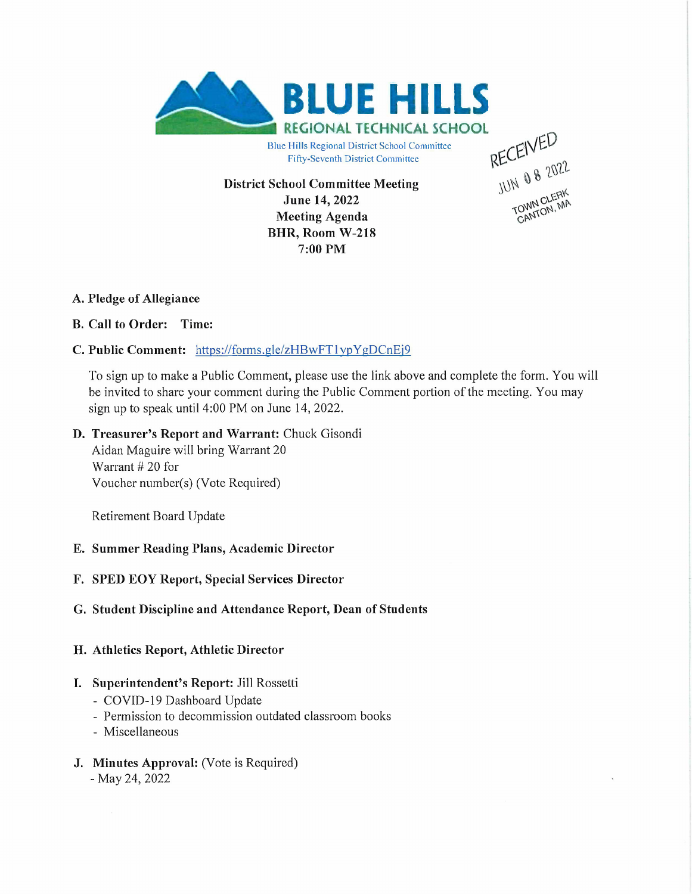

Fifty-Seventh District Committee

**District School Committee Meeting June 14, 2022 Meeting Agenda BHR, Room W-218 7:00 PM**

JUN 0 8 2022 **TOWN CLETT** 

## **A. Pledge of Allegiance**

## **B. Call to Order: Time:**

# **C. Public Comment:** <https://forms.gle/zHBwFTlypYgDCnEi9>

To sign up to make a Public Comment, please use the link above and complete the form. You will be invited to share your comment during the Public Comment portion of the meeting. You may sign up to speak until 4:00 PM on June 14, 2022.

## **D. Treasurer's Report and Warrant:** Chuck Gisondi

Aidan Maguire will bring Warrant 20 Warrant # 20 for Voucher number(s) (Vote Required)

Retirement Board Update

## **E. Summer Reading Plans, Academic Director**

## **F. SPED EOY Report, Special Services Director**

## **G. Student Discipline and Attendance Report, Dean of Students**

## **H. Athletics Report, Athletic Director**

## **I. Superintendent's Report:** Jill Rossetti

- COVID-19 Dashboard Update
- Permission to decommission outdated classroom books
- Miscellaneous
- **J. Minutes Approval:** (Vote is Required) - May 24, 2022